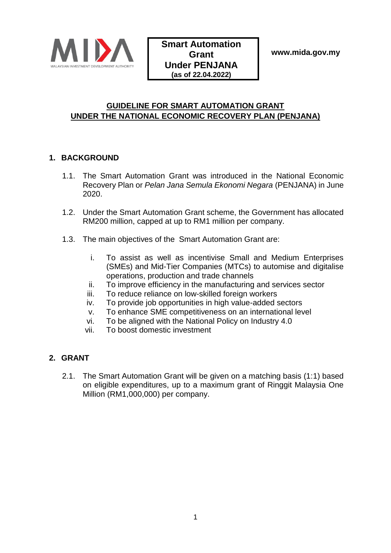

### **GUIDELINE FOR SMART AUTOMATION GRANT UNDER THE NATIONAL ECONOMIC RECOVERY PLAN (PENJANA)**

### **1. BACKGROUND**

- 1.1. The Smart Automation Grant was introduced in the National Economic Recovery Plan or *Pelan Jana Semula Ekonomi Negara* (PENJANA) in June 2020.
- 1.2. Under the Smart Automation Grant scheme, the Government has allocated RM200 million, capped at up to RM1 million per company.
- 1.3. The main objectives of the Smart Automation Grant are:
	- i. To assist as well as incentivise Small and Medium Enterprises (SMEs) and Mid-Tier Companies (MTCs) to automise and digitalise operations, production and trade channels
	- ii. To improve efficiency in the manufacturing and services sector
	- iii. To reduce reliance on low-skilled foreign workers
	- iv. To provide job opportunities in high value-added sectors
	- v. To enhance SME competitiveness on an international level
	- vi. To be aligned with the National Policy on Industry 4.0
	- vii. To boost domestic investment

#### **2. GRANT**

2.1. The Smart Automation Grant will be given on a matching basis (1:1) based on eligible expenditures, up to a maximum grant of Ringgit Malaysia One Million (RM1,000,000) per company.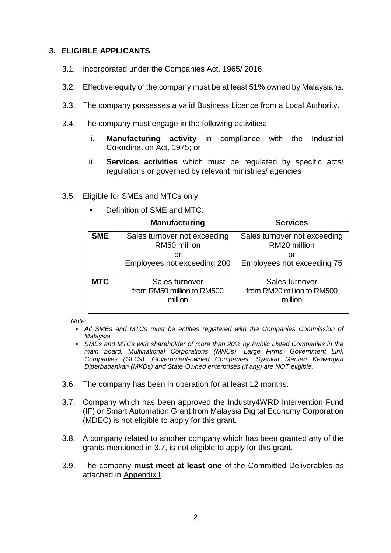#### **3. ELIGIBLE APPLICANTS**

- 3.1. Incorporated under the Companies Act, 1965/ 2016.
- 3.2. Effective equity of the company must be at least 51% owned by Malaysians.
- 3.3. The company possesses a valid Business Licence from a Local Authority.
- 3.4. The company must engage in the following activities:
	- i. **Manufacturing activity** in compliance with the Industrial Co-ordination Act, 1975; or
	- ii. **Services activities** which must be regulated by specific acts/ regulations or governed by relevant ministries/ agencies
- 3.5. Eligible for SMEs and MTCs only.

|            | <b>Manufacturing</b>                                                              | <b>Services</b>                                                            |  |  |
|------------|-----------------------------------------------------------------------------------|----------------------------------------------------------------------------|--|--|
| <b>SME</b> | Sales turnover not exceeding<br>RM50 million<br>or<br>Employees not exceeding 200 | Sales turnover not exceeding<br>RM20 million<br>Employees not exceeding 75 |  |  |
| <b>MTC</b> | Sales turnover<br>from RM50 million to RM500<br>million                           | Sales turnover<br>from RM20 million to RM500<br>million                    |  |  |

Definition of SME and MTC:

*Note:* 

- **All SMEs and MTCs must be entities registered with the Companies Commission of** *Malaysia.*
- *SMEs and MTCs with shareholder of more than 20% by Public Listed Companies in the main board, Multinational Corporations (MNCs), Large Firms, Government Link Companies (GLCs), Government-owned Companies, Syarikat Menteri Kewangan Diperbadankan (MKDs) and State-Owned enterprises (if any) are NOT eligible.*
- 3.6. The company has been in operation for at least 12 months.
- 3.7. Company which has been approved the Industry4WRD Intervention Fund (IF) or Smart Automation Grant from Malaysia Digital Economy Corporation (MDEC) is not eligible to apply for this grant.
- 3.8. A company related to another company which has been granted any of the grants mentioned in 3.7, is not eligible to apply for this grant.
- 3.9. The company **must meet at least one** of the Committed Deliverables as attached in Appendix I.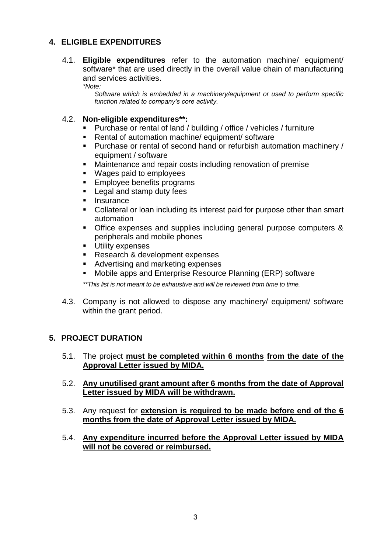#### **4. ELIGIBLE EXPENDITURES**

- 4.1. **Eligible expenditures** refer to the automation machine/ equipment/ software\* that are used directly in the overall value chain of manufacturing and services activities.
	- *\*Note:*

*Software which is embedded in a machinery/equipment or used to perform specific function related to company's core activity.* 

#### 4.2. **Non-eligible expenditures\*\*:**

- Purchase or rental of land / building / office / vehicles / furniture
- Rental of automation machine/ equipment/ software
- Purchase or rental of second hand or refurbish automation machinery / equipment / software
- Maintenance and repair costs including renovation of premise
- Wages paid to employees
- Employee benefits programs
- Legal and stamp duty fees
- Insurance
- Collateral or loan including its interest paid for purpose other than smart automation
- Office expenses and supplies including general purpose computers & peripherals and mobile phones
- Utility expenses
- Research & development expenses
- Advertising and marketing expenses
- Mobile apps and Enterprise Resource Planning (ERP) software

*\*\*This list is not meant to be exhaustive and will be reviewed from time to time.*

4.3. Company is not allowed to dispose any machinery/ equipment/ software within the grant period.

#### **5. PROJECT DURATION**

- 5.1. The project **must be completed within 6 months from the date of the Approval Letter issued by MIDA.**
- 5.2. **Any unutilised grant amount after 6 months from the date of Approval Letter issued by MIDA will be withdrawn.**
- 5.3. Any request for **extension is required to be made before end of the 6 months from the date of Approval Letter issued by MIDA.**
- 5.4. **Any expenditure incurred before the Approval Letter issued by MIDA will not be covered or reimbursed.**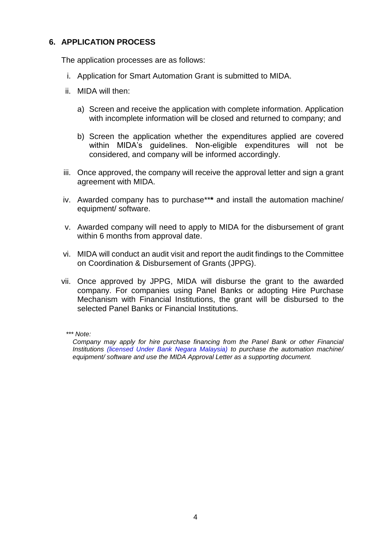#### **6. APPLICATION PROCESS**

The application processes are as follows:

- i. Application for Smart Automation Grant is submitted to MIDA.
- ii. MIDA will then:
	- a) Screen and receive the application with complete information. Application with incomplete information will be closed and returned to company; and
	- b) Screen the application whether the expenditures applied are covered within MIDA's guidelines. Non-eligible expenditures will not be considered, and company will be informed accordingly.
- iii. Once approved, the company will receive the approval letter and sign a grant agreement with MIDA.
- iv. Awarded company has to purchase\*\***\*** and install the automation machine/ equipment/ software.
- v. Awarded company will need to apply to MIDA for the disbursement of grant within 6 months from approval date.
- vi. MIDA will conduct an audit visit and report the audit findings to the Committee on Coordination & Disbursement of Grants (JPPG).
- vii. Once approved by JPPG, MIDA will disburse the grant to the awarded company. For companies using Panel Banks or adopting Hire Purchase Mechanism with Financial Institutions, the grant will be disbursed to the selected Panel Banks or Financial Institutions.

*\*\*\* Note:*

*Company may apply for hire purchase financing from the Panel Bank or other Financial Institutions (licensed Under Bank Negara Malaysia) to purchase the automation machine/ equipment/ software and use the MIDA Approval Letter as a supporting document.*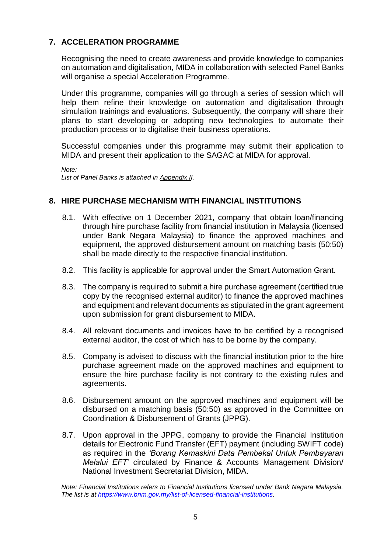#### **7. ACCELERATION PROGRAMME**

Recognising the need to create awareness and provide knowledge to companies on automation and digitalisation, MIDA in collaboration with selected Panel Banks will organise a special Acceleration Programme.

Under this programme, companies will go through a series of session which will help them refine their knowledge on automation and digitalisation through simulation trainings and evaluations. Subsequently, the company will share their plans to start developing or adopting new technologies to automate their production process or to digitalise their business operations.

Successful companies under this programme may submit their application to MIDA and present their application to the SAGAC at MIDA for approval.

*Note:*

*List of Panel Banks is attached in Appendix II.* 

#### **8. HIRE PURCHASE MECHANISM WITH FINANCIAL INSTITUTIONS**

- 8.1. With effective on 1 December 2021, company that obtain loan/financing through hire purchase facility from financial institution in Malaysia (licensed under Bank Negara Malaysia) to finance the approved machines and equipment, the approved disbursement amount on matching basis (50:50) shall be made directly to the respective financial institution.
- 8.2. This facility is applicable for approval under the Smart Automation Grant.
- 8.3. The company is required to submit a hire purchase agreement (certified true copy by the recognised external auditor) to finance the approved machines and equipment and relevant documents as stipulated in the grant agreement upon submission for grant disbursement to MIDA.
- 8.4. All relevant documents and invoices have to be certified by a recognised external auditor, the cost of which has to be borne by the company.
- 8.5. Company is advised to discuss with the financial institution prior to the hire purchase agreement made on the approved machines and equipment to ensure the hire purchase facility is not contrary to the existing rules and agreements.
- 8.6. Disbursement amount on the approved machines and equipment will be disbursed on a matching basis (50:50) as approved in the Committee on Coordination & Disbursement of Grants (JPPG).
- 8.7. Upon approval in the JPPG, company to provide the Financial Institution details for Electronic Fund Transfer (EFT) payment (including SWIFT code) as required in the *'Borang Kemaskini Data Pembekal Untuk Pembayaran Melalui EFT'* circulated by Finance & Accounts Management Division/ National Investment Secretariat Division, MIDA.

*Note: Financial Institutions refers to Financial Institutions licensed under Bank Negara Malaysia. The list is at [https://www.bnm.gov.my/list-of-licensed-financial-institutions.](https://www.bnm.gov.my/list-of-licensed-financial-institutions)*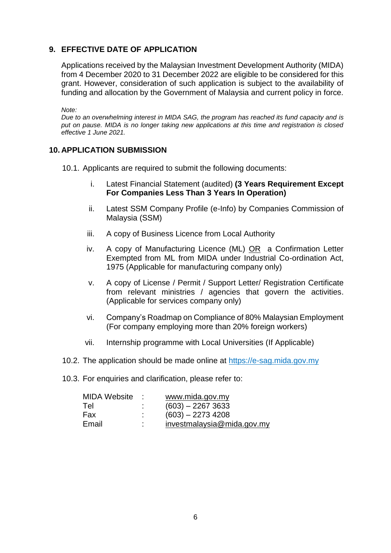#### **9. EFFECTIVE DATE OF APPLICATION**

Applications received by the Malaysian Investment Development Authority (MIDA) from 4 December 2020 to 31 December 2022 are eligible to be considered for this grant. However, consideration of such application is subject to the availability of funding and allocation by the Government of Malaysia and current policy in force.

*Note:*

*Due to an overwhelming interest in MIDA SAG, the program has reached its fund capacity and is put on pause. MIDA is no longer taking new applications at this time and registration is closed effective 1 June 2021.*

#### **10. APPLICATION SUBMISSION**

- 10.1. Applicants are required to submit the following documents:
	- i. Latest Financial Statement (audited) **(3 Years Requirement Except For Companies Less Than 3 Years In Operation)**
	- ii. Latest SSM Company Profile (e-Info) by Companies Commission of Malaysia (SSM)
	- iii. A copy of Business Licence from Local Authority
	- iv. A copy of Manufacturing Licence (ML) OR a Confirmation Letter Exempted from ML from MIDA under Industrial Co-ordination Act, 1975 (Applicable for manufacturing company only)
	- v. A copy of License / Permit / Support Letter/ Registration Certificate from relevant ministries / agencies that govern the activities. (Applicable for services company only)
	- vi. Company's Roadmap on Compliance of 80% Malaysian Employment (For company employing more than 20% foreign workers)
	- vii. Internship programme with Local Universities (If Applicable)
- 10.2. The application should be made online at [https://e-sag.mida.gov.my](https://e-sag.mida.gov.my/)
- 10.3. For enquiries and clarification, please refer to:

| <b>MIDA Website</b> | У., | www.mida.gov.my            |
|---------------------|-----|----------------------------|
| Tel                 | ٠   | $(603) - 22673633$         |
| Fax                 |     | $(603) - 2273$ 4208        |
| Email               | ÷   | investmalaysia@mida.gov my |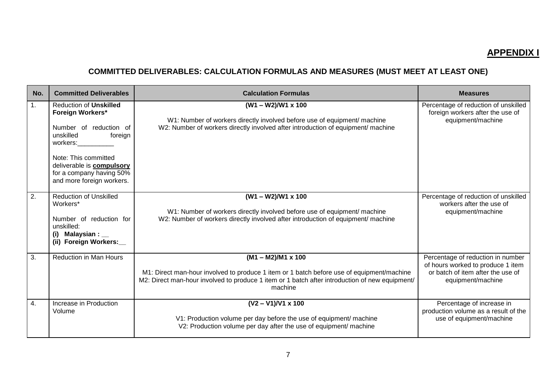## **APPENDIX I**

# **COMMITTED DELIVERABLES: CALCULATION FORMULAS AND MEASURES (MUST MEET AT LEAST ONE)**

| No.            | <b>Committed Deliverables</b>                                                                                                                                                                                                               | <b>Calculation Formulas</b>                                                                                                                                                                                                         | <b>Measures</b>                                                                                                                  |
|----------------|---------------------------------------------------------------------------------------------------------------------------------------------------------------------------------------------------------------------------------------------|-------------------------------------------------------------------------------------------------------------------------------------------------------------------------------------------------------------------------------------|----------------------------------------------------------------------------------------------------------------------------------|
| $\mathbf{1}$ . | <b>Reduction of Unskilled</b><br><b>Foreign Workers*</b><br>Number of reduction of<br>unskilled<br>foreign<br>workers:<br>Note: This committed<br>deliverable is <b>compulsory</b><br>for a company having 50%<br>and more foreign workers. | $(W1 - W2)/W1 \times 100$<br>W1: Number of workers directly involved before use of equipment/ machine<br>W2: Number of workers directly involved after introduction of equipment/ machine                                           | Percentage of reduction of unskilled<br>foreign workers after the use of<br>equipment/machine                                    |
| 2.             | <b>Reduction of Unskilled</b><br>Workers*<br>Number of reduction for<br>unskilled:<br>Malaysian : $\_\_$<br>(i)<br>(ii) Foreign Workers:                                                                                                    | $(W1 - W2)/W1 \times 100$<br>W1: Number of workers directly involved before use of equipment/ machine<br>W2: Number of workers directly involved after introduction of equipment/ machine                                           | Percentage of reduction of unskilled<br>workers after the use of<br>equipment/machine                                            |
| 3.             | <b>Reduction in Man Hours</b>                                                                                                                                                                                                               | $(M1 - M2)/M1 \times 100$<br>M1: Direct man-hour involved to produce 1 item or 1 batch before use of equipment/machine<br>M2: Direct man-hour involved to produce 1 item or 1 batch after introduction of new equipment/<br>machine | Percentage of reduction in number<br>of hours worked to produce 1 item<br>or batch of item after the use of<br>equipment/machine |
| 4.             | Increase in Production<br>Volume                                                                                                                                                                                                            | $(V2 - V1)/V1 \times 100$<br>V1: Production volume per day before the use of equipment/ machine<br>V2: Production volume per day after the use of equipment/ machine                                                                | Percentage of increase in<br>production volume as a result of the<br>use of equipment/machine                                    |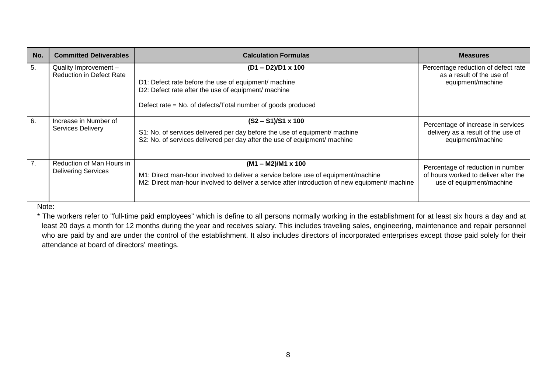| No. | <b>Committed Deliverables</b>                            | <b>Calculation Formulas</b>                                                                                                                                                                                      | <b>Measures</b>                                                                                       |
|-----|----------------------------------------------------------|------------------------------------------------------------------------------------------------------------------------------------------------------------------------------------------------------------------|-------------------------------------------------------------------------------------------------------|
| 5.  | Quality Improvement -<br><b>Reduction in Defect Rate</b> | $(D1 - D2)/D1 \times 100$<br>D1: Defect rate before the use of equipment/ machine<br>D2: Defect rate after the use of equipment/ machine<br>Defect rate = No. of defects/Total number of goods produced          | Percentage reduction of defect rate<br>as a result of the use of<br>equipment/machine                 |
| 6.  | Increase in Number of<br><b>Services Delivery</b>        | $(S2 - S1)/S1 \times 100$<br>S1: No. of services delivered per day before the use of equipment/ machine<br>S2: No. of services delivered per day after the use of equipment/ machine                             | Percentage of increase in services<br>delivery as a result of the use of<br>equipment/machine         |
| 7.  | Reduction of Man Hours in<br><b>Delivering Services</b>  | $(M1 - M2)/M1 \times 100$<br>M1: Direct man-hour involved to deliver a service before use of equipment/machine<br>M2: Direct man-hour involved to deliver a service after introduction of new equipment/ machine | Percentage of reduction in number<br>of hours worked to deliver after the<br>use of equipment/machine |

Note:

\* The workers refer to "full-time paid employees" which is define to all persons normally working in the establishment for at least six hours a day and at least 20 days a month for 12 months during the year and receives salary. This includes traveling sales, engineering, maintenance and repair personnel who are paid by and are under the control of the establishment. It also includes directors of incorporated enterprises except those paid solely for their attendance at board of directors' meetings.